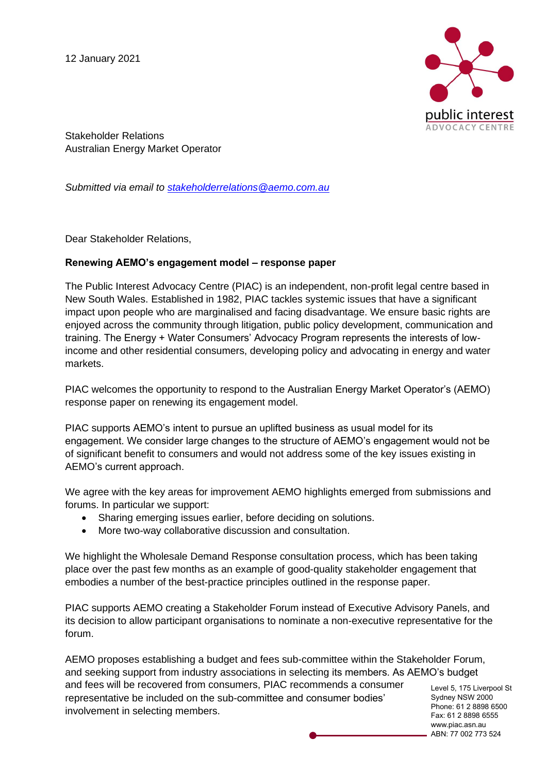12 January 2021



Stakeholder Relations Australian Energy Market Operator

*Submitted via email to [stakeholderrelations@aemo.com.au](mailto:stakeholderrelations@aemo.com.au)*

Dear Stakeholder Relations,

## **Renewing AEMO's engagement model – response paper**

The Public Interest Advocacy Centre (PIAC) is an independent, non-profit legal centre based in New South Wales. Established in 1982, PIAC tackles systemic issues that have a significant impact upon people who are marginalised and facing disadvantage. We ensure basic rights are enjoyed across the community through litigation, public policy development, communication and training. The Energy + Water Consumers' Advocacy Program represents the interests of lowincome and other residential consumers, developing policy and advocating in energy and water markets.

PIAC welcomes the opportunity to respond to the Australian Energy Market Operator's (AEMO) response paper on renewing its engagement model.

PIAC supports AEMO's intent to pursue an uplifted business as usual model for its engagement. We consider large changes to the structure of AEMO's engagement would not be of significant benefit to consumers and would not address some of the key issues existing in AEMO's current approach.

We agree with the key areas for improvement AEMO highlights emerged from submissions and forums. In particular we support:

- Sharing emerging issues earlier, before deciding on solutions.
- More two-way collaborative discussion and consultation.

We highlight the Wholesale Demand Response consultation process, which has been taking place over the past few months as an example of good-quality stakeholder engagement that embodies a number of the best-practice principles outlined in the response paper.

PIAC supports AEMO creating a Stakeholder Forum instead of Executive Advisory Panels, and its decision to allow participant organisations to nominate a non-executive representative for the forum.

AEMO proposes establishing a budget and fees sub-committee within the Stakeholder Forum, and seeking support from industry associations in selecting its members. As AEMO's budget and fees will be recovered from consumers, PIAC recommends a consumer representative be included on the sub-committee and consumer bodies' involvement in selecting members.

Level 5, 175 Liverpool St Sydney NSW 2000 Phone: 61 2 8898 6500 Fax: 61 2 8898 6555 www.piac.asn.au ABN: 77 002 773 524